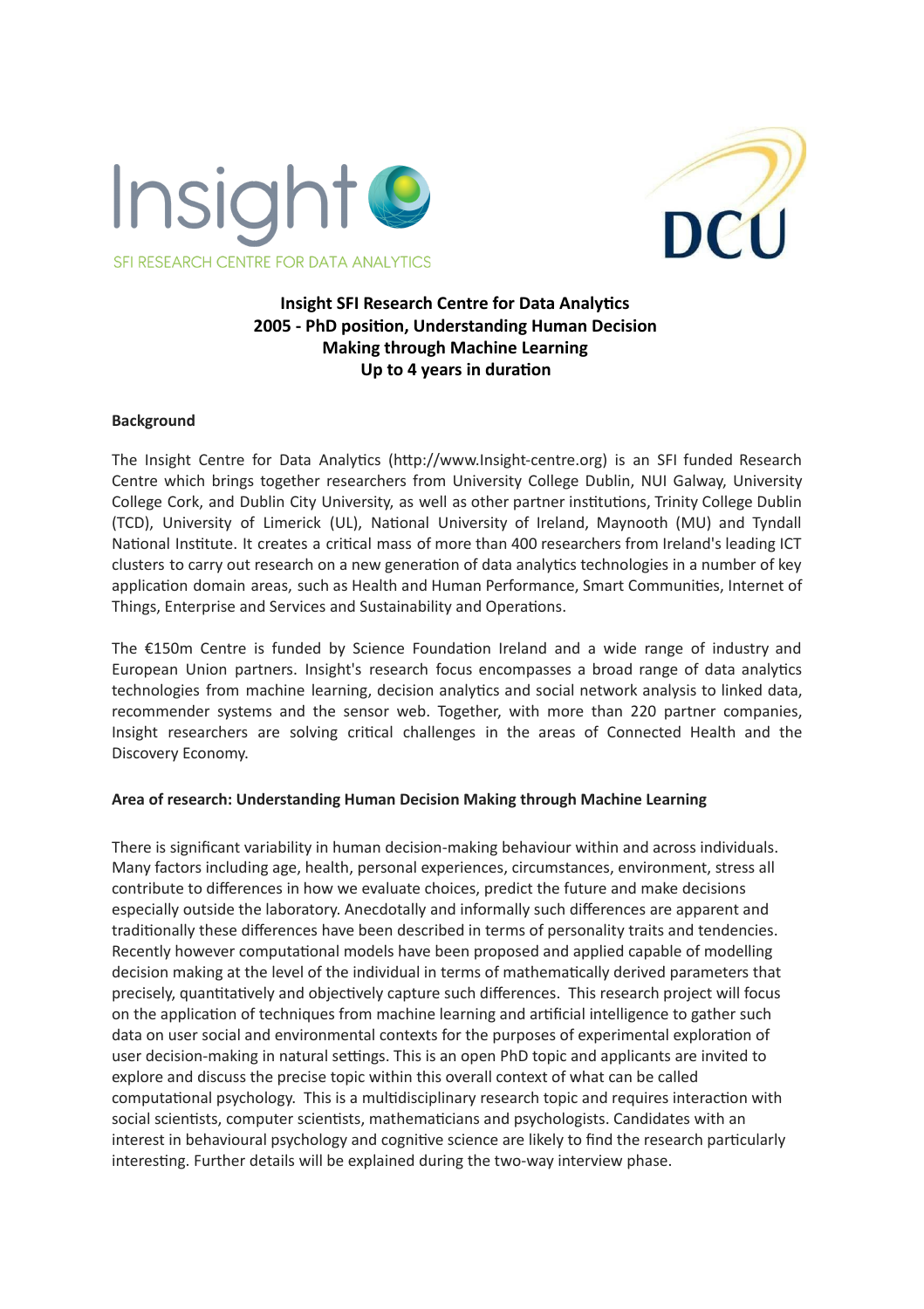



# **Insight SFI Research Centre for Data Analytics 2005 - PhD position, Understanding Human Decision Making through Machine Learning Up to 4 years in duration**

#### **Background**

The Insight Centre for Data Analytics (http://www.Insight-centre.org) is an SFI funded Research Centre which brings together researchers from University College Dublin, NUI Galway, University College Cork, and Dublin City University, as well as other partner institutions, Trinity College Dublin (TCD), University of Limerick (UL), National University of Ireland, Maynooth (MU) and Tyndall National Institute. It creates a critical mass of more than 400 researchers from Ireland's leading ICT clusters to carry out research on a new generation of data analytics technologies in a number of key application domain areas, such as Health and Human Performance, Smart Communities, Internet of Things, Enterprise and Services and Sustainability and Operations.

The  $£150m$  Centre is funded by Science Foundation Ireland and a wide range of industry and European Union partners. Insight's research focus encompasses a broad range of data analytics technologies from machine learning, decision analytics and social network analysis to linked data, recommender systems and the sensor web. Together, with more than 220 partner companies, Insight researchers are solving critical challenges in the areas of Connected Health and the Discovery Economy.

## **Area of research: Understanding Human Decision Making through Machine Learning**

There is significant variability in human decision-making behaviour within and across individuals. Many factors including age, health, personal experiences, circumstances, environment, stress all contribute to differences in how we evaluate choices, predict the future and make decisions especially outside the laboratory. Anecdotally and informally such differences are apparent and traditionally these differences have been described in terms of personality traits and tendencies. Recently however computational models have been proposed and applied capable of modelling decision making at the level of the individual in terms of mathematically derived parameters that precisely, quantitatively and objectively capture such differences. This research project will focus on the application of techniques from machine learning and artificial intelligence to gather such data on user social and environmental contexts for the purposes of experimental exploration of user decision-making in natural settings. This is an open PhD topic and applicants are invited to explore and discuss the precise topic within this overall context of what can be called computational psychology. This is a multidisciplinary research topic and requires interaction with social scientists, computer scientists, mathematicians and psychologists. Candidates with an interest in behavioural psychology and cognitive science are likely to find the research particularly interesting. Further details will be explained during the two-way interview phase.